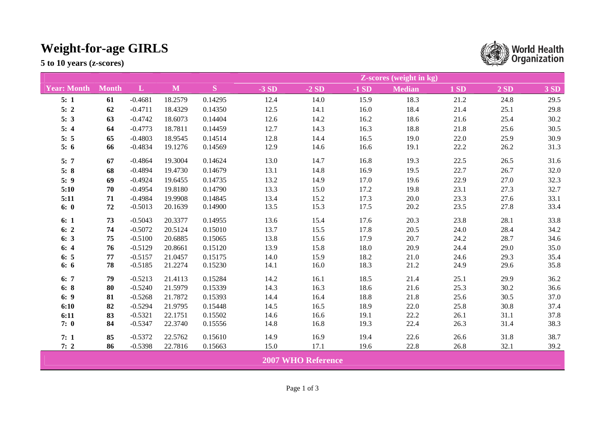## **Weight-for-age GIRLS**

**5 to 10 years (z-scores)** 

|                           |              |           |              |           | <b>Z-scores (weight in kg)</b> |        |        |               |             |      |      |  |
|---------------------------|--------------|-----------|--------------|-----------|--------------------------------|--------|--------|---------------|-------------|------|------|--|
| <b>Year: Month</b>        | <b>Month</b> | L         | $\mathbf{M}$ | ${\bf S}$ | $-3SD$                         | $-2SD$ | $-1SD$ | <b>Median</b> | <b>1 SD</b> | 2SD  | 3 SD |  |
| 5:1                       | 61           | $-0.4681$ | 18.2579      | 0.14295   | 12.4                           | 14.0   | 15.9   | 18.3          | 21.2        | 24.8 | 29.5 |  |
| 5:2                       | 62           | $-0.4711$ | 18.4329      | 0.14350   | 12.5                           | 14.1   | 16.0   | 18.4          | 21.4        | 25.1 | 29.8 |  |
| 5:3                       | 63           | $-0.4742$ | 18.6073      | 0.14404   | 12.6                           | 14.2   | 16.2   | 18.6          | 21.6        | 25.4 | 30.2 |  |
| 5:4                       | 64           | $-0.4773$ | 18.7811      | 0.14459   | 12.7                           | 14.3   | 16.3   | 18.8          | 21.8        | 25.6 | 30.5 |  |
| 5:5                       | 65           | $-0.4803$ | 18.9545      | 0.14514   | 12.8                           | 14.4   | 16.5   | 19.0          | 22.0        | 25.9 | 30.9 |  |
| 5:6                       | 66           | $-0.4834$ | 19.1276      | 0.14569   | 12.9                           | 14.6   | 16.6   | 19.1          | 22.2        | 26.2 | 31.3 |  |
| 5:7                       | 67           | $-0.4864$ | 19.3004      | 0.14624   | 13.0                           | 14.7   | 16.8   | 19.3          | 22.5        | 26.5 | 31.6 |  |
| 5:8                       | 68           | $-0.4894$ | 19.4730      | 0.14679   | 13.1                           | 14.8   | 16.9   | 19.5          | 22.7        | 26.7 | 32.0 |  |
| 5:9                       | 69           | $-0.4924$ | 19.6455      | 0.14735   | 13.2                           | 14.9   | 17.0   | 19.6          | 22.9        | 27.0 | 32.3 |  |
| 5:10                      | 70           | $-0.4954$ | 19.8180      | 0.14790   | 13.3                           | 15.0   | 17.2   | 19.8          | 23.1        | 27.3 | 32.7 |  |
| 5:11                      | 71           | $-0.4984$ | 19.9908      | 0.14845   | 13.4                           | 15.2   | 17.3   | 20.0          | 23.3        | 27.6 | 33.1 |  |
| 6:0                       | 72           | $-0.5013$ | 20.1639      | 0.14900   | 13.5                           | 15.3   | 17.5   | 20.2          | 23.5        | 27.8 | 33.4 |  |
| 6:1                       | 73           | $-0.5043$ | 20.3377      | 0.14955   | 13.6                           | 15.4   | 17.6   | 20.3          | 23.8        | 28.1 | 33.8 |  |
| 6:2                       | 74           | $-0.5072$ | 20.5124      | 0.15010   | 13.7                           | 15.5   | 17.8   | 20.5          | 24.0        | 28.4 | 34.2 |  |
| 6:3                       | 75           | $-0.5100$ | 20.6885      | 0.15065   | 13.8                           | 15.6   | 17.9   | 20.7          | 24.2        | 28.7 | 34.6 |  |
| 6:4                       | 76           | $-0.5129$ | 20.8661      | 0.15120   | 13.9                           | 15.8   | 18.0   | 20.9          | 24.4        | 29.0 | 35.0 |  |
| 6:5                       | 77           | $-0.5157$ | 21.0457      | 0.15175   | 14.0                           | 15.9   | 18.2   | 21.0          | 24.6        | 29.3 | 35.4 |  |
| 6:6                       | 78           | $-0.5185$ | 21.2274      | 0.15230   | 14.1                           | 16.0   | 18.3   | 21.2          | 24.9        | 29.6 | 35.8 |  |
| 6:7                       | 79           | $-0.5213$ | 21.4113      | 0.15284   | 14.2                           | 16.1   | 18.5   | 21.4          | 25.1        | 29.9 | 36.2 |  |
| 6:8                       | 80           | $-0.5240$ | 21.5979      | 0.15339   | 14.3                           | 16.3   | 18.6   | 21.6          | 25.3        | 30.2 | 36.6 |  |
| 6: 9                      | 81           | $-0.5268$ | 21.7872      | 0.15393   | 14.4                           | 16.4   | 18.8   | 21.8          | 25.6        | 30.5 | 37.0 |  |
| 6:10                      | 82           | $-0.5294$ | 21.9795      | 0.15448   | 14.5                           | 16.5   | 18.9   | 22.0          | 25.8        | 30.8 | 37.4 |  |
| 6:11                      | 83           | $-0.5321$ | 22.1751      | 0.15502   | 14.6                           | 16.6   | 19.1   | 22.2          | 26.1        | 31.1 | 37.8 |  |
| 7:0                       | 84           | $-0.5347$ | 22.3740      | 0.15556   | 14.8                           | 16.8   | 19.3   | 22.4          | 26.3        | 31.4 | 38.3 |  |
| 7:1                       | 85           | $-0.5372$ | 22.5762      | 0.15610   | 14.9                           | 16.9   | 19.4   | 22.6          | 26.6        | 31.8 | 38.7 |  |
| 7:2                       | 86           | $-0.5398$ | 22.7816      | 0.15663   | 15.0                           | 17.1   | 19.6   | 22.8          | 26.8        | 32.1 | 39.2 |  |
| <b>2007 WHO Reference</b> |              |           |              |           |                                |        |        |               |             |      |      |  |

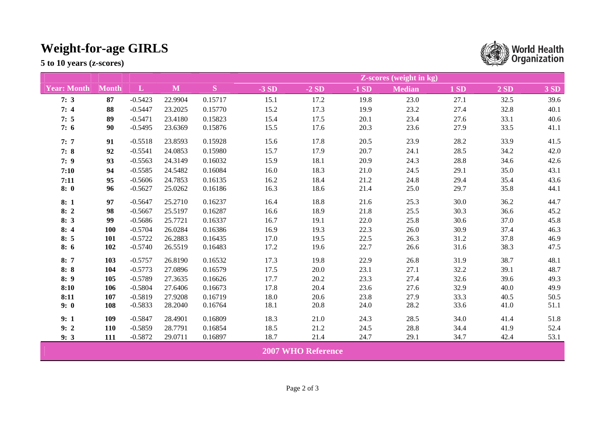## **Weight-for-age GIRLS**

**5 to 10 years (z-scores)** 

|                           |              |           |         |         | <b>Z-scores</b> (weight in kg) |        |        |               |      |      |      |
|---------------------------|--------------|-----------|---------|---------|--------------------------------|--------|--------|---------------|------|------|------|
| <b>Year: Month</b>        | <b>Month</b> | L         | M       | S       | $-3SD$                         | $-2SD$ | $-1SD$ | <b>Median</b> | 1SD  | 2SD  | 3 SD |
| 7:3                       | 87           | $-0.5423$ | 22.9904 | 0.15717 | 15.1                           | 17.2   | 19.8   | 23.0          | 27.1 | 32.5 | 39.6 |
| 7:4                       | 88           | $-0.5447$ | 23.2025 | 0.15770 | 15.2                           | 17.3   | 19.9   | 23.2          | 27.4 | 32.8 | 40.1 |
| 7:5                       | 89           | $-0.5471$ | 23.4180 | 0.15823 | 15.4                           | 17.5   | 20.1   | 23.4          | 27.6 | 33.1 | 40.6 |
| 7:6                       | 90           | $-0.5495$ | 23.6369 | 0.15876 | 15.5                           | 17.6   | 20.3   | 23.6          | 27.9 | 33.5 | 41.1 |
| 7:7                       | 91           | $-0.5518$ | 23.8593 | 0.15928 | 15.6                           | 17.8   | 20.5   | 23.9          | 28.2 | 33.9 | 41.5 |
| 7:8                       | 92           | $-0.5541$ | 24.0853 | 0.15980 | 15.7                           | 17.9   | 20.7   | 24.1          | 28.5 | 34.2 | 42.0 |
| 7:9                       | 93           | $-0.5563$ | 24.3149 | 0.16032 | 15.9                           | 18.1   | 20.9   | 24.3          | 28.8 | 34.6 | 42.6 |
| 7:10                      | 94           | $-0.5585$ | 24.5482 | 0.16084 | 16.0                           | 18.3   | 21.0   | 24.5          | 29.1 | 35.0 | 43.1 |
| 7:11                      | 95           | $-0.5606$ | 24.7853 | 0.16135 | 16.2                           | 18.4   | 21.2   | 24.8          | 29.4 | 35.4 | 43.6 |
| 8:0                       | 96           | $-0.5627$ | 25.0262 | 0.16186 | 16.3                           | 18.6   | 21.4   | 25.0          | 29.7 | 35.8 | 44.1 |
| 8:1                       | 97           | $-0.5647$ | 25.2710 | 0.16237 | 16.4                           | 18.8   | 21.6   | 25.3          | 30.0 | 36.2 | 44.7 |
| 8:2                       | 98           | $-0.5667$ | 25.5197 | 0.16287 | 16.6                           | 18.9   | 21.8   | 25.5          | 30.3 | 36.6 | 45.2 |
| 8:3                       | 99           | $-0.5686$ | 25.7721 | 0.16337 | 16.7                           | 19.1   | 22.0   | 25.8          | 30.6 | 37.0 | 45.8 |
| 8:4                       | 100          | $-0.5704$ | 26.0284 | 0.16386 | 16.9                           | 19.3   | 22.3   | 26.0          | 30.9 | 37.4 | 46.3 |
| 8:5                       | 101          | $-0.5722$ | 26.2883 | 0.16435 | 17.0                           | 19.5   | 22.5   | 26.3          | 31.2 | 37.8 | 46.9 |
| 8:6                       | 102          | $-0.5740$ | 26.5519 | 0.16483 | 17.2                           | 19.6   | 22.7   | 26.6          | 31.6 | 38.3 | 47.5 |
| 8:7                       | 103          | $-0.5757$ | 26.8190 | 0.16532 | 17.3                           | 19.8   | 22.9   | 26.8          | 31.9 | 38.7 | 48.1 |
| 8:8                       | 104          | $-0.5773$ | 27.0896 | 0.16579 | 17.5                           | 20.0   | 23.1   | 27.1          | 32.2 | 39.1 | 48.7 |
| 8:9                       | 105          | $-0.5789$ | 27.3635 | 0.16626 | 17.7                           | 20.2   | 23.3   | 27.4          | 32.6 | 39.6 | 49.3 |
| 8:10                      | 106          | $-0.5804$ | 27.6406 | 0.16673 | 17.8                           | 20.4   | 23.6   | 27.6          | 32.9 | 40.0 | 49.9 |
| 8:11                      | 107          | $-0.5819$ | 27.9208 | 0.16719 | 18.0                           | 20.6   | 23.8   | 27.9          | 33.3 | 40.5 | 50.5 |
| 9:0                       | 108          | $-0.5833$ | 28.2040 | 0.16764 | 18.1                           | 20.8   | 24.0   | 28.2          | 33.6 | 41.0 | 51.1 |
| 9:1                       | 109          | $-0.5847$ | 28.4901 | 0.16809 | 18.3                           | 21.0   | 24.3   | 28.5          | 34.0 | 41.4 | 51.8 |
| 9:2                       | 110          | $-0.5859$ | 28.7791 | 0.16854 | 18.5                           | 21.2   | 24.5   | 28.8          | 34.4 | 41.9 | 52.4 |
| 9:3                       | 111          | $-0.5872$ | 29.0711 | 0.16897 | 18.7                           | 21.4   | 24.7   | 29.1          | 34.7 | 42.4 | 53.1 |
| <b>2007 WHO Reference</b> |              |           |         |         |                                |        |        |               |      |      |      |